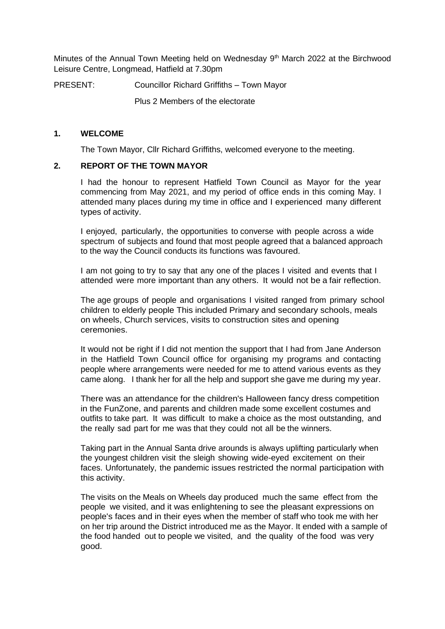Minutes of the Annual Town Meeting held on Wednesday 9<sup>th</sup> March 2022 at the Birchwood Leisure Centre, Longmead, Hatfield at 7.30pm

PRESENT: Councillor Richard Griffiths – Town Mayor

Plus 2 Members of the electorate

#### **1. WELCOME**

The Town Mayor, Cllr Richard Griffiths, welcomed everyone to the meeting.

#### **2. REPORT OF THE TOWN MAYOR**

I had the honour to represent Hatfield Town Council as Mayor for the year commencing from May 2021, and my period of office ends in this coming May. I attended many places during my time in office and I experienced many different types of activity.

I enjoyed, particularly, the opportunities to converse with people across a wide spectrum of subjects and found that most people agreed that a balanced approach to the way the Council conducts its functions was favoured.

I am not going to try to say that any one of the places I visited and events that I attended were more important than any others. It would not be a fair reflection.

The age groups of people and organisations I visited ranged from primary school children to elderly people This included Primary and secondary schools, meals on wheels, Church services, visits to construction sites and opening ceremonies.

It would not be right if I did not mention the support that I had from Jane Anderson in the Hatfield Town Council office for organising my programs and contacting people where arrangements were needed for me to attend various events as they came along. I thank her for all the help and support she gave me during my year.

There was an attendance for the children's Halloween fancy dress competition in the FunZone, and parents and children made some excellent costumes and outfits to take part. It was difficult to make a choice as the most outstanding, and the really sad part for me was that they could not all be the winners.

Taking part in the Annual Santa drive arounds is always uplifting particularly when the youngest children visit the sleigh showing wide-eyed excitement on their faces. Unfortunately, the pandemic issues restricted the normal participation with this activity.

The visits on the Meals on Wheels day produced much the same effect from the people we visited, and it was enlightening to see the pleasant expressions on people's faces and in their eyes when the member of staff who took me with her on her trip around the District introduced me as the Mayor. It ended with a sample of the food handed out to people we visited, and the quality of the food was very good.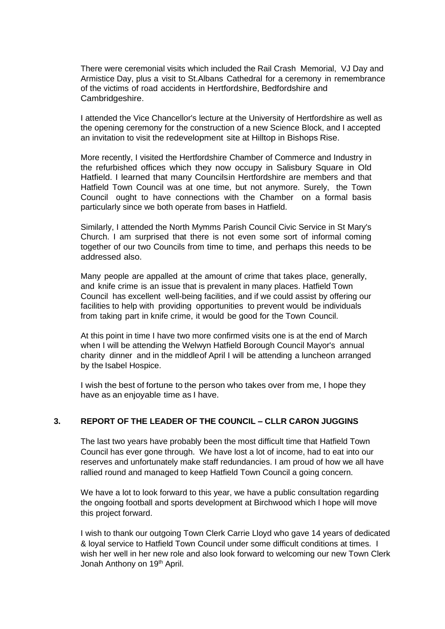There were ceremonial visits which included the Rail Crash Memorial, VJ Day and Armistice Day, plus a visit to St.Albans Cathedral for a ceremony in remembrance of the victims of road accidents in Hertfordshire, Bedfordshire and Cambridgeshire.

I attended the Vice Chancellor's lecture at the University of Hertfordshire as well as the opening ceremony for the construction of a new Science Block, and I accepted an invitation to visit the redevelopment site at Hilltop in Bishops Rise.

More recently, I visited the Hertfordshire Chamber of Commerce and Industry in the refurbished offices which they now occupy in Salisbury Square in Old Hatfield. I learned that many Councilsin Hertfordshire are members and that Hatfield Town Council was at one time, but not anymore. Surely, the Town Council ought to have connections with the Chamber on a formal basis particularly since we both operate from bases in Hatfield.

Similarly, I attended the North Mymms Parish Council Civic Service in St Mary's Church. I am surprised that there is not even some sort of informal coming together of our two Councils from time to time, and perhaps this needs to be addressed also.

Many people are appalled at the amount of crime that takes place, generally, and knife crime is an issue that is prevalent in many places. Hatfield Town Council has excellent well-being facilities, and if we could assist by offering our facilities to help with providing opportunities to prevent would be individuals from taking part in knife crime, it would be good for the Town Council.

At this point in time I have two more confirmed visits one is at the end of March when I will be attending the Welwyn Hatfield Borough Council Mayor's annual charity dinner and in the middleof April I will be attending a luncheon arranged by the Isabel Hospice.

I wish the best of fortune to the person who takes over from me, I hope they have as an enjoyable time as I have.

# **3. REPORT OF THE LEADER OF THE COUNCIL – CLLR CARON JUGGINS**

The last two years have probably been the most difficult time that Hatfield Town Council has ever gone through. We have lost a lot of income, had to eat into our reserves and unfortunately make staff redundancies. I am proud of how we all have rallied round and managed to keep Hatfield Town Council a going concern.

We have a lot to look forward to this year, we have a public consultation regarding the ongoing football and sports development at Birchwood which I hope will move this project forward.

I wish to thank our outgoing Town Clerk Carrie Lloyd who gave 14 years of dedicated & loyal service to Hatfield Town Council under some difficult conditions at times. I wish her well in her new role and also look forward to welcoming our new Town Clerk Jonah Anthony on 19<sup>th</sup> April.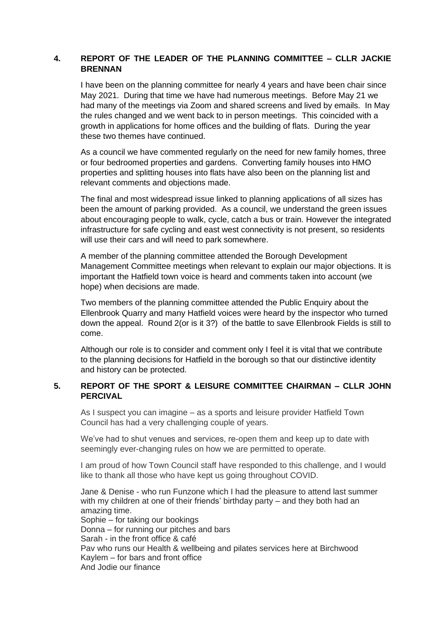### **4. REPORT OF THE LEADER OF THE PLANNING COMMITTEE – CLLR JACKIE BRENNAN**

I have been on the planning committee for nearly 4 years and have been chair since May 2021. During that time we have had numerous meetings. Before May 21 we had many of the meetings via Zoom and shared screens and lived by emails. In May the rules changed and we went back to in person meetings. This coincided with a growth in applications for home offices and the building of flats. During the year these two themes have continued.

As a council we have commented regularly on the need for new family homes, three or four bedroomed properties and gardens. Converting family houses into HMO properties and splitting houses into flats have also been on the planning list and relevant comments and objections made.

The final and most widespread issue linked to planning applications of all sizes has been the amount of parking provided. As a council, we understand the green issues about encouraging people to walk, cycle, catch a bus or train. However the integrated infrastructure for safe cycling and east west connectivity is not present, so residents will use their cars and will need to park somewhere.

A member of the planning committee attended the Borough Development Management Committee meetings when relevant to explain our major objections. It is important the Hatfield town voice is heard and comments taken into account (we hope) when decisions are made.

Two members of the planning committee attended the Public Enquiry about the Ellenbrook Quarry and many Hatfield voices were heard by the inspector who turned down the appeal. Round 2(or is it 3?) of the battle to save Ellenbrook Fields is still to come.

Although our role is to consider and comment only I feel it is vital that we contribute to the planning decisions for Hatfield in the borough so that our distinctive identity and history can be protected.

### **5. REPORT OF THE SPORT & LEISURE COMMITTEE CHAIRMAN – CLLR JOHN PERCIVAL**

As I suspect you can imagine – as a sports and leisure provider Hatfield Town Council has had a very challenging couple of years.

We've had to shut venues and services, re-open them and keep up to date with seemingly ever-changing rules on how we are permitted to operate.

I am proud of how Town Council staff have responded to this challenge, and I would like to thank all those who have kept us going throughout COVID.

Jane & Denise - who run Funzone which I had the pleasure to attend last summer with my children at one of their friends' birthday party – and they both had an amazing time. Sophie – for taking our bookings Donna – for running our pitches and bars Sarah - in the front office & café Pav who runs our Health & wellbeing and pilates services here at Birchwood Kaylem – for bars and front office And Jodie our finance